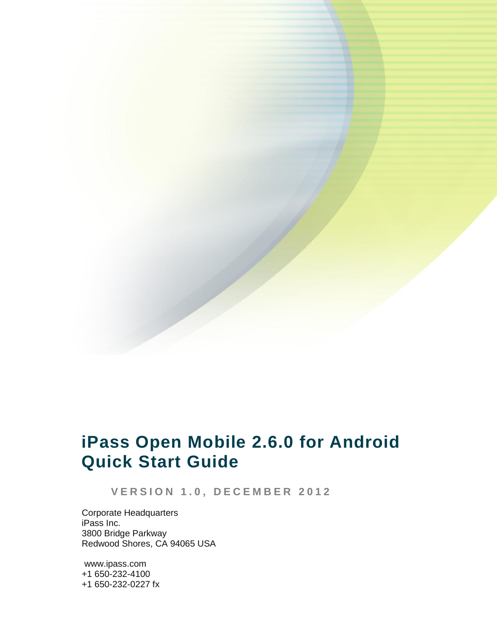

# **iPass Open Mobile 2.6.0 for Android Quick Start Guide**

**V E R S I O N 1 . 0 , D E C E M B E R 2 0 1 2**

Corporate Headquarters iPass Inc. 3800 Bridge Parkway Redwood Shores, CA 94065 USA

www.ipass.com +1 650-232-4100 +1 650-232-0227 fx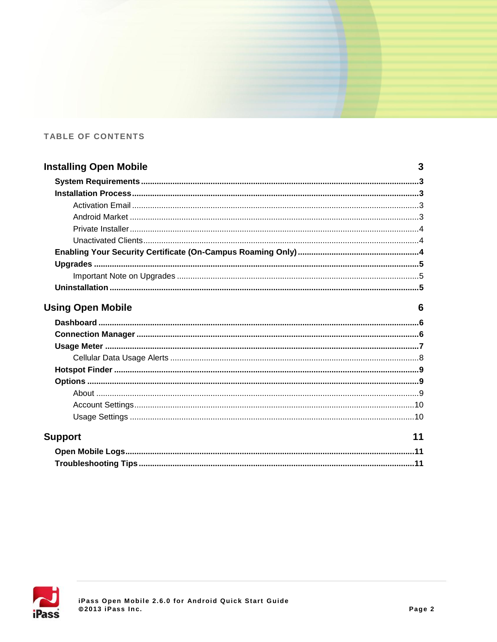### TABLE OF CONTENTS

| <b>Installing Open Mobile</b> | 3  |
|-------------------------------|----|
|                               |    |
|                               |    |
|                               |    |
|                               |    |
|                               |    |
|                               |    |
|                               |    |
|                               |    |
|                               |    |
|                               |    |
| <b>Using Open Mobile</b>      | 6  |
|                               |    |
|                               |    |
|                               |    |
|                               |    |
|                               |    |
|                               |    |
|                               |    |
|                               |    |
|                               |    |
| <b>Support</b>                | 11 |
|                               |    |
|                               |    |

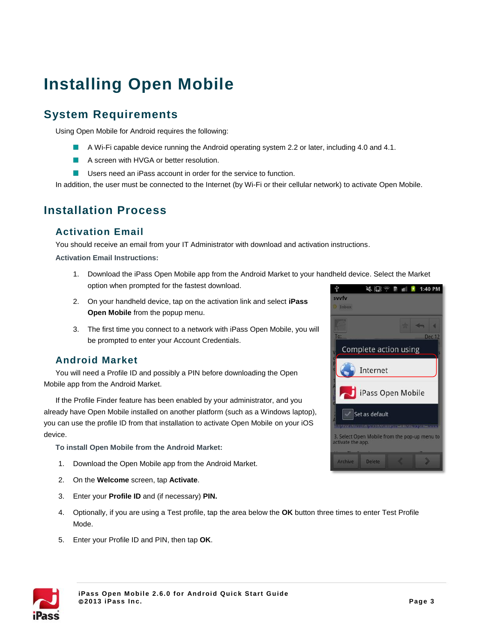# **Installing Open Mobile**

# **System Requirements**

Using Open Mobile for Android requires the following:

- A Wi-Fi capable device running the Android operating system 2.2 or later, including 4.0 and 4.1.
- A screen with HVGA or better resolution.
- **USERT** Users need an iPass account in order for the service to function.

In addition, the user must be connected to the Internet (by Wi-Fi or their cellular network) to activate Open Mobile.

# **Installation Process**

### **Activation Email**

You should receive an email from your IT Administrator with download and activation instructions.

**Activation Email Instructions:**

- 1. Download the iPass Open Mobile app from the Android Market to your handheld device. Select the Market option when prompted for the fastest download.
- 2. On your handheld device, tap on the activation link and select **iPass Open Mobile** from the popup menu.
- 3. The first time you connect to a network with iPass Open Mobile, you will be prompted to enter your Account Credentials.

### **Android Market**

You will need a Profile ID and possibly a PIN before downloading the Open Mobile app from the Android Market.

If the Profile Finder feature has been enabled by your administrator, and you already have Open Mobile installed on another platform (such as a Windows laptop), you can use the profile ID from that installation to activate Open Mobile on your iOS device.

**To install Open Mobile from the Android Market:**

- 1. Download the Open Mobile app from the Android Market.
- 2. On the **Welcome** screen, tap **Activate**.
- 3. Enter your **Profile ID** and (if necessary) **PIN.**
- 4. Optionally, if you are using a Test profile, tap the area below the **OK** button three times to enter Test Profile Mode.
- 5. Enter your Profile ID and PIN, then tap **OK**.



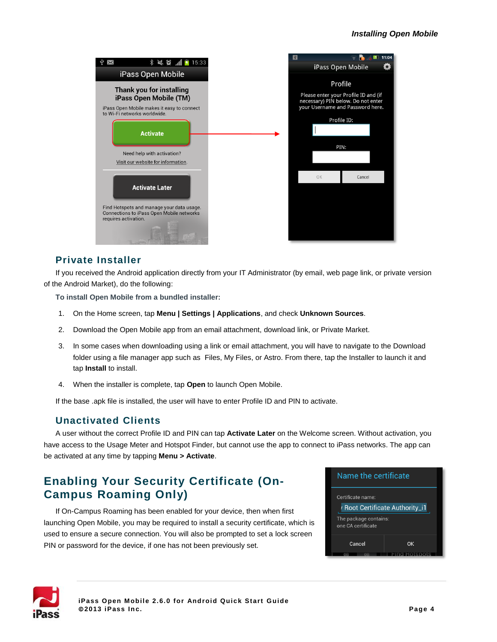

### **Private Installer**

If you received the Android application directly from your IT Administrator (by email, web page link, or private version of the Android Market), do the following:

**To install Open Mobile from a bundled installer:**

- 1. On the Home screen, tap **Menu | Settings | Applications**, and check **Unknown Sources**.
- 2. Download the Open Mobile app from an email attachment, download link, or Private Market.
- 3. In some cases when downloading using a link or email attachment, you will have to navigate to the Download folder using a file manager app such as Files, My Files, or Astro. From there, tap the Installer to launch it and tap **Install** to install.
- 4. When the installer is complete, tap **Open** to launch Open Mobile.

If the base .apk file is installed, the user will have to enter Profile ID and PIN to activate.

### **Unactivated Clients**

A user without the correct Profile ID and PIN can tap **Activate Later** on the Welcome screen. Without activation, you have access to the Usage Meter and Hotspot Finder, but cannot use the app to connect to iPass networks. The app can be activated at any time by tapping **Menu > Activate**.

# **Enabling Your Security Certificate (On-Campus Roaming Only)**

If On-Campus Roaming has been enabled for your device, then when first launching Open Mobile, you may be required to install a security certificate, which is used to ensure a secure connection. You will also be prompted to set a lock screen PIN or password for the device, if one has not been previously set.



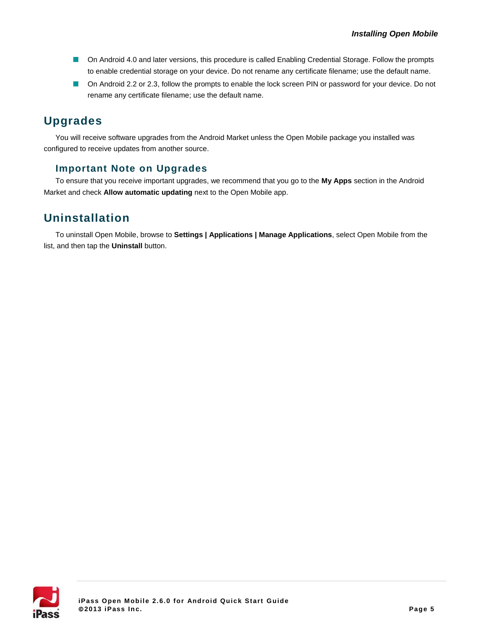- On Android 4.0 and later versions, this procedure is called Enabling Credential Storage. Follow the prompts to enable credential storage on your device. Do not rename any certificate filename; use the default name.
- **D** On Android 2.2 or 2.3, follow the prompts to enable the lock screen PIN or password for your device. Do not rename any certificate filename; use the default name.

# **Upgrades**

You will receive software upgrades from the Android Market unless the Open Mobile package you installed was configured to receive updates from another source.

### **Important Note on Upgrades**

To ensure that you receive important upgrades, we recommend that you go to the **My Apps** section in the Android Market and check **Allow automatic updating** next to the Open Mobile app.

### **Uninstallation**

To uninstall Open Mobile, browse to **Settings | Applications | Manage Applications**, select Open Mobile from the list, and then tap the **Uninstall** button.

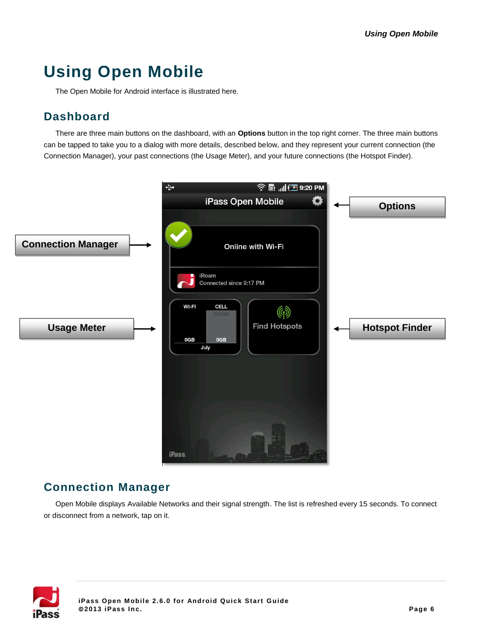# **Using Open Mobile**

The Open Mobile for Android interface is illustrated here.

## **Dashboard**

There are three main buttons on the dashboard, with an **Options** button in the top right corner. The three main buttons can be tapped to take you to a dialog with more details, described below, and they represent your current connection (the Connection Manager), your past connections (the Usage Meter), and your future connections (the Hotspot Finder).



### **Connection Manager**

Open Mobile displays Available Networks and their signal strength. The list is refreshed every 15 seconds. To connect or disconnect from a network, tap on it.

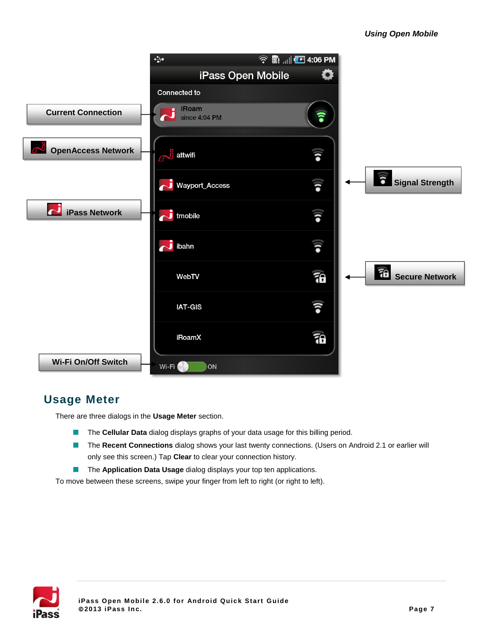

## **Usage Meter**

There are three dialogs in the **Usage Meter** section.

- $\mathcal{C}$ The **Cellular Data** dialog displays graphs of your data usage for this billing period.
- The **Recent Connections** dialog shows your last twenty connections. (Users on Android 2.1 or earlier will only see this screen.) Tap **Clear** to clear your connection history.
- **The Application Data Usage** dialog displays your top ten applications.

To move between these screens, swipe your finger from left to right (or right to left).

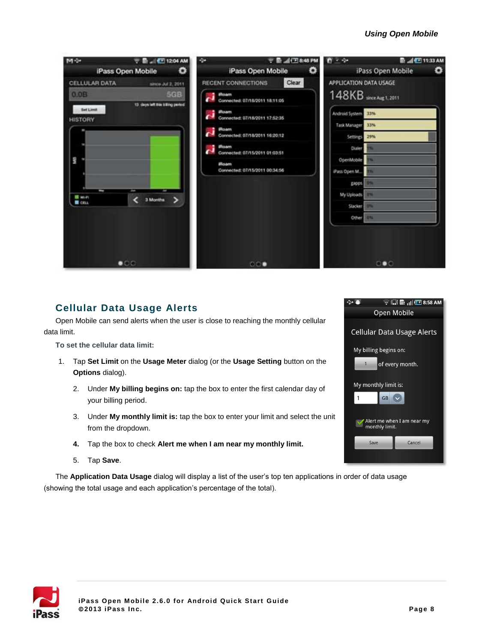#### *Using Open Mobile*



### <span id="page-7-0"></span>**Cellular Data Usage Alerts**

Open Mobile can send alerts when the user is close to reaching the monthly cellular data limit.

**To set the cellular data limit:**

- 1. Tap **Set Limit** on the **Usage Meter** dialog (or the **Usage Setting** button on the **Options** dialog).
	- 2. Under **My billing begins on:** tap the box to enter the first calendar day of your billing period.
	- 3. Under **My monthly limit is:** tap the box to enter your limit and select the unit from the dropdown.
	- **4.** Tap the box to check **Alert me when I am near my monthly limit.**
	- 5. Tap **Save**.

The **Application Data Usage** dialog will display a list of the user's top ten applications in order of data usage (showing the total usage and each application's percentage of the total).



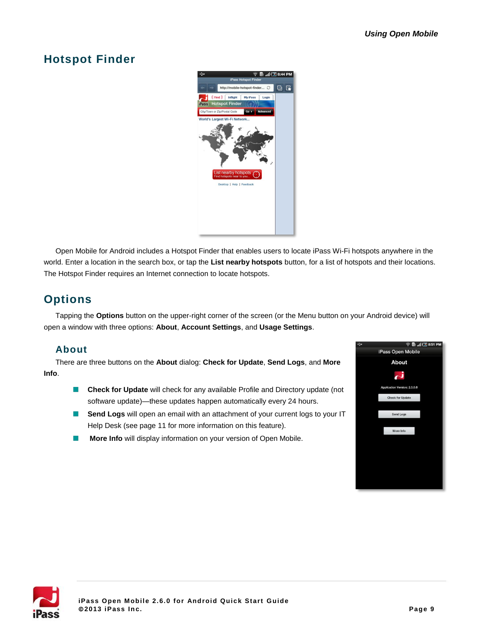# **Hotspot Finder**



Open Mobile for Android includes a Hotspot Finder that enables users to locate iPass Wi-Fi hotspots anywhere in the world. Enter a location in the search box, or tap the **List nearby hotspots** button, for a list of hotspots and their locations. The Hotspot Finder requires an Internet connection to locate hotspots.

# **Options**

Tapping the **Options** button on the upper-right corner of the screen (or the Menu button on your Android device) will open a window with three options: **About**, **Account Settings**, and **Usage Settings**.

### **About**

There are three buttons on the **About** dialog: **Check for Update**, **Send Logs**, and **More Info**.

- **Check for Update** will check for any available Profile and Directory update (not software update)—these updates happen automatically every 24 hours.
- **Send Logs** will open an email with an attachment of your current logs to your IT Help Desk (see pag[e 11](#page-10-0) for more information on this feature).
- **More Info** will display information on your version of Open Mobile. П



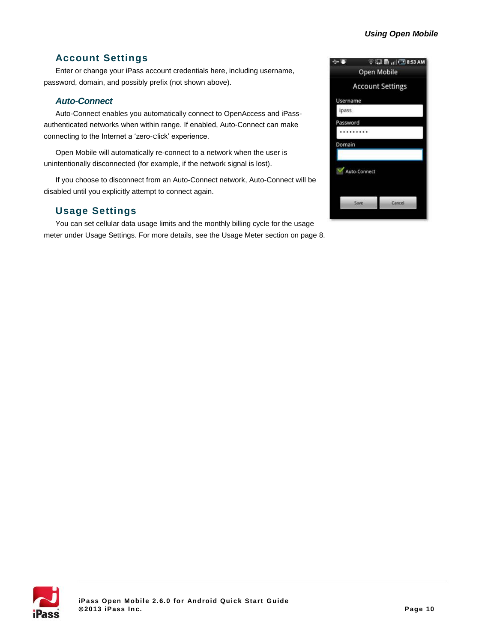#### *Using Open Mobile*

### **Account Settings**

Enter or change your iPass account credentials here, including username, password, domain, and possibly prefix (not shown above).

#### *Auto-Connect*

Auto-Connect enables you automatically connect to OpenAccess and iPassauthenticated networks when within range. If enabled, Auto-Connect can make connecting to the Internet a 'zero-click' experience.

Open Mobile will automatically re-connect to a network when the user is unintentionally disconnected (for example, if the network signal is lost).

If you choose to disconnect from an Auto-Connect network, Auto-Connect will be disabled until you explicitly attempt to connect again.

### **Usage Settings**

You can set cellular data usage limits and the monthly billing cycle for the usage meter under Usage Settings. For more details, see the Usage Meter section on page [8.](#page-7-0)

| $\rightarrow$ and |              | 令得量 di □8:53 AM         |  |
|-------------------|--------------|-------------------------|--|
|                   | Open Mobile  |                         |  |
|                   |              | <b>Account Settings</b> |  |
| Username          |              |                         |  |
| ipass             |              |                         |  |
| Password          |              |                         |  |
|                   |              |                         |  |
| Domain            |              |                         |  |
|                   |              |                         |  |
|                   | Auto-Connect |                         |  |
|                   | Save         | Cancel                  |  |
|                   |              |                         |  |

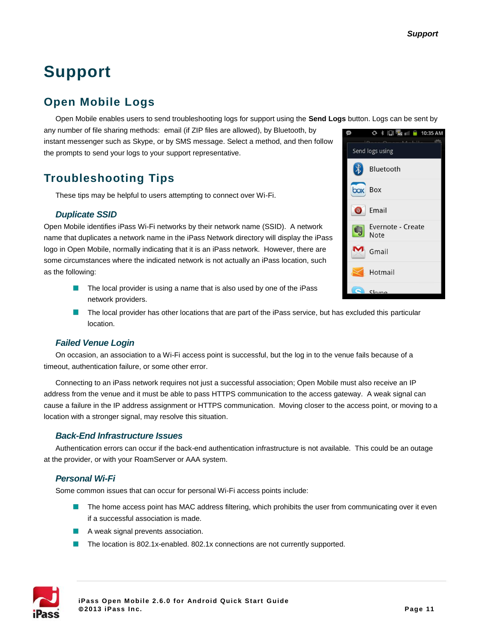# **Support**

# <span id="page-10-0"></span>**Open Mobile Logs**

Open Mobile enables users to send troubleshooting logs for support using the **Send Logs** button. Logs can be sent by

any number of file sharing methods: email (if ZIP files are allowed), by Bluetooth, by instant messenger such as Skype, or by SMS message. Select a method, and then follow the prompts to send your logs to your support representative.

## **Troubleshooting Tips**

These tips may be helpful to users attempting to connect over Wi-Fi.

#### *Duplicate SSID*

Open Mobile identifies iPass Wi-Fi networks by their network name (SSID). A network name that duplicates a network name in the iPass Network directory will display the iPass logo in Open Mobile, normally indicating that it is an iPass network. However, there are some circumstances where the indicated network is not actually an iPass location, such as the following:

- $\blacksquare$  The local provider is using a name that is also used by one of the iPass network providers.
- The local provider has other locations that are part of the iPass service, but has excluded this particular location.

#### *Failed Venue Login*

On occasion, an association to a Wi-Fi access point is successful, but the log in to the venue fails because of a timeout, authentication failure, or some other error.

Connecting to an iPass network requires not just a successful association; Open Mobile must also receive an IP address from the venue and it must be able to pass HTTPS communication to the access gateway. A weak signal can cause a failure in the IP address assignment or HTTPS communication. Moving closer to the access point, or moving to a location with a stronger signal, may resolve this situation.

#### *Back-End Infrastructure Issues*

Authentication errors can occur if the back-end authentication infrastructure is not available. This could be an outage at the provider, or with your RoamServer or AAA system.

#### *Personal Wi-Fi*

Some common issues that can occur for personal Wi-Fi access points include:

- **The home access point has MAC address filtering, which prohibits the user from communicating over it even** if a successful association is made.
- A weak signal prevents association.
- The location is 802.1x-enabled. 802.1x connections are not currently supported.